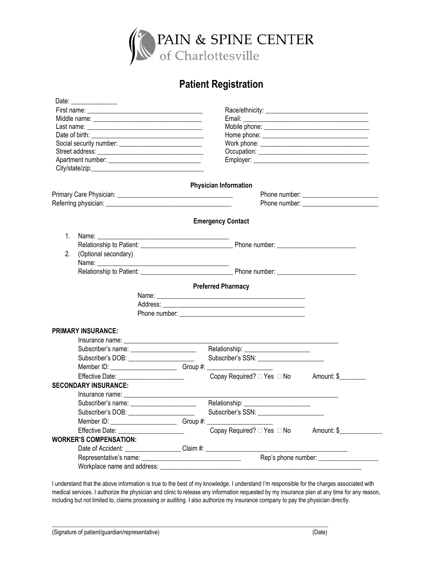

## **Patient Registration**

| Date: ________________      |                                                                                                                        |                                               |  |
|-----------------------------|------------------------------------------------------------------------------------------------------------------------|-----------------------------------------------|--|
|                             |                                                                                                                        |                                               |  |
|                             |                                                                                                                        |                                               |  |
|                             |                                                                                                                        |                                               |  |
|                             |                                                                                                                        |                                               |  |
|                             |                                                                                                                        |                                               |  |
|                             |                                                                                                                        |                                               |  |
|                             |                                                                                                                        |                                               |  |
|                             |                                                                                                                        |                                               |  |
|                             |                                                                                                                        | <b>Physician Information</b>                  |  |
|                             |                                                                                                                        |                                               |  |
|                             |                                                                                                                        |                                               |  |
|                             |                                                                                                                        | <b>Emergency Contact</b>                      |  |
| 1.                          | Name: Name                                                                                                             |                                               |  |
|                             | <u> 2000 - Jan James James Barnett, amerikan bahasa perangan perangan perangan perangan perangan perangan perangan</u> |                                               |  |
| 2.                          | (Optional secondary)                                                                                                   |                                               |  |
|                             | Name: Name:                                                                                                            |                                               |  |
|                             |                                                                                                                        |                                               |  |
|                             |                                                                                                                        |                                               |  |
|                             |                                                                                                                        | <b>Preferred Pharmacy</b>                     |  |
|                             |                                                                                                                        |                                               |  |
|                             |                                                                                                                        |                                               |  |
|                             |                                                                                                                        |                                               |  |
| <b>PRIMARY INSURANCE:</b>   |                                                                                                                        |                                               |  |
|                             |                                                                                                                        |                                               |  |
|                             | Subscriber's name: ________________________                                                                            | Relationship: ________________________        |  |
|                             | Subscriber's DOB: ________________________                                                                             | Subscriber's SSN: ______________________      |  |
|                             |                                                                                                                        |                                               |  |
|                             | Effective Date: _______________________                                                                                | Copay Required? □ Yes □ No Amount: \$________ |  |
| <b>SECONDARY INSURANCE:</b> |                                                                                                                        |                                               |  |
|                             |                                                                                                                        |                                               |  |
|                             | Subscriber's name: _________________________                                                                           | Relationship: _______________________         |  |
|                             | Subscriber's DOB: ______________________                                                                               | Subscriber's SSN: _______________________     |  |
|                             | Member ID: ___________________________Group #: _________________________________                                       |                                               |  |
|                             | Effective Date: ______________________                                                                                 | Copay Required? □ Yes □ No Amount: \$         |  |
|                             | <b>WORKER'S COMPENSATION:</b>                                                                                          |                                               |  |
|                             |                                                                                                                        |                                               |  |
|                             |                                                                                                                        |                                               |  |
|                             | Workplace name and address:                                                                                            |                                               |  |
|                             |                                                                                                                        |                                               |  |

I understand that the above information is true to the best of my knowledge. I understand I'm responsible for the charges associated with medical services. I authorize the physician and clinic to release any information requested by my insurance plan at any time for any reason, including but not limited to, claims processing or auditing. I also authorize my insurance company to pay the physician directly.

 $\mathcal{L}_\mathcal{L} = \{ \mathcal{L}_\mathcal{L} = \{ \mathcal{L}_\mathcal{L} = \{ \mathcal{L}_\mathcal{L} = \{ \mathcal{L}_\mathcal{L} = \{ \mathcal{L}_\mathcal{L} = \{ \mathcal{L}_\mathcal{L} = \{ \mathcal{L}_\mathcal{L} = \{ \mathcal{L}_\mathcal{L} = \{ \mathcal{L}_\mathcal{L} = \{ \mathcal{L}_\mathcal{L} = \{ \mathcal{L}_\mathcal{L} = \{ \mathcal{L}_\mathcal{L} = \{ \mathcal{L}_\mathcal{L} = \{ \mathcal{L}_\mathcal{$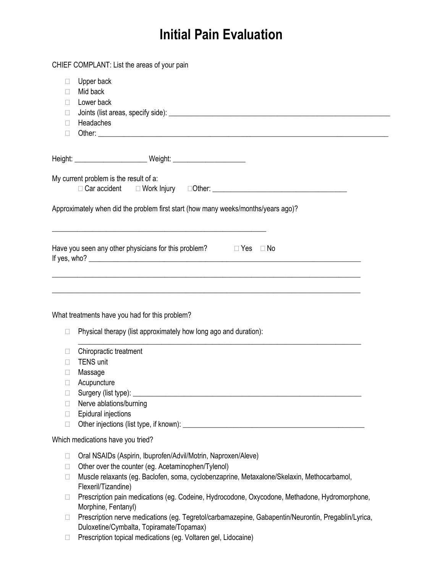# **Initial Pain Evaluation**

|        | CHIEF COMPLANT: List the areas of your pain                                                                      |
|--------|------------------------------------------------------------------------------------------------------------------|
| u      | Upper back                                                                                                       |
| H      | Mid back                                                                                                         |
| $\Box$ | Lower back                                                                                                       |
| $\Box$ |                                                                                                                  |
| П      | Headaches                                                                                                        |
| $\Box$ |                                                                                                                  |
|        |                                                                                                                  |
|        |                                                                                                                  |
|        | My current problem is the result of a:                                                                           |
|        |                                                                                                                  |
|        |                                                                                                                  |
|        | Approximately when did the problem first start (how many weeks/months/years ago)?                                |
|        | and the control of the control of the control of the control of the control of the control of the control of the |
|        | Have you seen any other physicians for this problem? $\Box$ Yes $\Box$ No                                        |
|        |                                                                                                                  |
|        |                                                                                                                  |
|        |                                                                                                                  |
|        |                                                                                                                  |
|        | What treatments have you had for this problem?                                                                   |
|        |                                                                                                                  |
| $\Box$ | Physical therapy (list approximately how long ago and duration):                                                 |
|        | Chiropractic treatment                                                                                           |
| П      | <b>TENS unit</b>                                                                                                 |
| П      | Massage                                                                                                          |
|        | Acupuncture                                                                                                      |
| u      |                                                                                                                  |
| H      | Nerve ablations/burning                                                                                          |
| $\Box$ | Epidural injections                                                                                              |
| $\Box$ |                                                                                                                  |
|        | Which medications have you tried?                                                                                |
| u      | Oral NSAIDs (Aspirin, Ibuprofen/Advil/Motrin, Naproxen/Aleve)                                                    |
| u      | Other over the counter (eg. Acetaminophen/Tylenol)                                                               |
| $\Box$ | Muscle relaxants (eg. Baclofen, soma, cyclobenzaprine, Metaxalone/Skelaxin, Methocarbamol,                       |
|        | Flexeril/Tizandine)                                                                                              |
| u      | Prescription pain medications (eg. Codeine, Hydrocodone, Oxycodone, Methadone, Hydromorphone,                    |
|        | Morphine, Fentanyl)                                                                                              |
| П      | Prescription nerve medications (eg. Tegretol/carbamazepine, Gabapentin/Neurontin, Pregablin/Lyrica,              |
|        | Duloxetine/Cymbalta, Topiramate/Topamax)                                                                         |
|        |                                                                                                                  |

Prescription topical medications (eg. Voltaren gel, Lidocaine)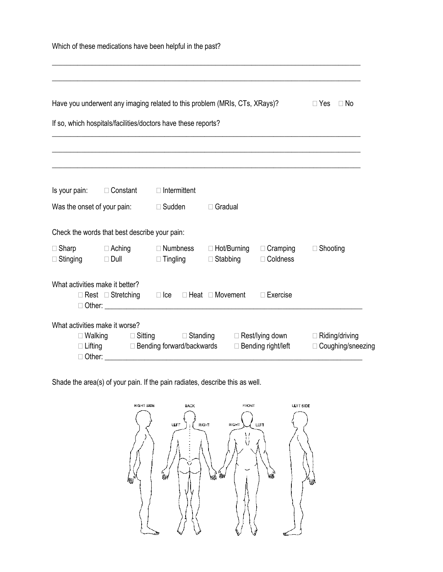|                                 |                                               |                                                               | Have you underwent any imaging related to this problem (MRIs, CTs, XRays)? |                               | $\Box$ No<br>$\Box$ Yes |
|---------------------------------|-----------------------------------------------|---------------------------------------------------------------|----------------------------------------------------------------------------|-------------------------------|-------------------------|
|                                 |                                               | If so, which hospitals/facilities/doctors have these reports? |                                                                            |                               |                         |
|                                 |                                               |                                                               |                                                                            |                               |                         |
|                                 | Is your pain: □ Constant                      | $\Box$ Intermittent                                           |                                                                            |                               |                         |
|                                 | Was the onset of your pain:                   | $\Box$ Sudden                                                 | $\Box$ Gradual                                                             |                               |                         |
|                                 | Check the words that best describe your pain: |                                                               |                                                                            |                               |                         |
| $\Box$ Stinging                 | □ Sharp □ Aching<br>$\Box$ Dull               | $\Box$ Numbness<br>$\Box$ Tingling                            | $\Box$ Hot/Burning<br>$\Box$ Stabbing                                      | $\Box$ Cramping<br>□ Coldness | $\Box$ Shooting         |
| What activities make it better? |                                               |                                                               | $\Box$ Rest $\Box$ Stretching $\Box$ Ice $\Box$ Heat $\Box$ Movement       | $\Box$ Exercise               |                         |

Shade the area(s) of your pain. If the pain radiates, describe this as well.

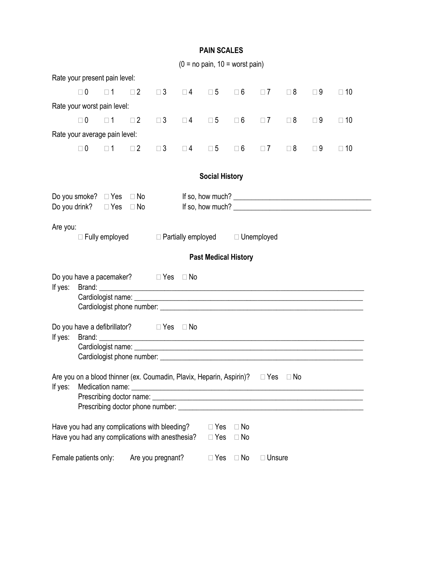|                                                                                            |                                                                                                  |                   |          |                   |                                                       | PAIN SUALES                 |                        |               |             |             |                                  |
|--------------------------------------------------------------------------------------------|--------------------------------------------------------------------------------------------------|-------------------|----------|-------------------|-------------------------------------------------------|-----------------------------|------------------------|---------------|-------------|-------------|----------------------------------|
|                                                                                            |                                                                                                  |                   |          |                   | $(0 = no pain, 10 = worst pain)$                      |                             |                        |               |             |             |                                  |
|                                                                                            | Rate your present pain level:                                                                    |                   |          |                   |                                                       |                             |                        |               |             |             |                                  |
|                                                                                            | $\Box$ 0                                                                                         | $\square$ 1       | $\Box$ 2 |                   | $\Box$ 3 $\Box$ 4 $\Box$ 5 $\Box$ 6 $\Box$ 7 $\Box$ 8 |                             |                        |               |             | $\square$ 9 | $\square$ 10                     |
|                                                                                            | Rate your worst pain level:                                                                      |                   |          |                   |                                                       |                             |                        |               |             |             |                                  |
|                                                                                            | $\Box$ 0                                                                                         | $\Box$ 1 $\Box$ 2 |          | $\square$ 3       |                                                       | $\square 4$ $\square 5$     | $\square$ 6            | $\Box$ 7      | $\square$ 8 | $\square$ 9 | $\Box$ 10                        |
|                                                                                            | Rate your average pain level:                                                                    |                   |          |                   |                                                       |                             |                        |               |             |             |                                  |
|                                                                                            | $\Box$ 0                                                                                         | $\Box$ 1 $\Box$ 2 |          |                   | $\Box$ 3 $\Box$ 4 $\Box$ 5                            |                             | $\square$ 6            | $\Box$ 7      | $\square$ 8 | $\square$ 9 | $\Box$ 10                        |
|                                                                                            | <b>Social History</b>                                                                            |                   |          |                   |                                                       |                             |                        |               |             |             |                                  |
|                                                                                            | Do you smoke? $\Box$ Yes $\Box$ No<br>Do you drink? $\Box$ Yes $\Box$ No                         |                   |          |                   |                                                       |                             |                        |               |             |             | If so, how much? $\qquad \qquad$ |
|                                                                                            | Are you:<br>$\Box$ Fully employed<br>$\Box$ Partially employed $\Box$ Unemployed                 |                   |          |                   |                                                       |                             |                        |               |             |             |                                  |
|                                                                                            |                                                                                                  |                   |          |                   |                                                       | <b>Past Medical History</b> |                        |               |             |             |                                  |
| If yes:                                                                                    | Do you have a pacemaker? $\Box$ Yes $\Box$ No                                                    |                   |          |                   |                                                       |                             |                        |               |             |             |                                  |
| Do you have a defibrillator? $\Box$ Yes $\Box$ No<br>If yes:                               |                                                                                                  |                   |          |                   |                                                       |                             |                        |               |             |             |                                  |
| Are you on a blood thinner (ex. Coumadin, Plavix, Heparin, Aspirin)? □ Yes □ No<br>If yes: |                                                                                                  |                   |          |                   |                                                       |                             |                        |               |             |             |                                  |
|                                                                                            | Have you had any complications with bleeding?<br>Have you had any complications with anesthesia? |                   |          |                   |                                                       | $\Box$ Yes<br>$\Box$ Yes    | $\Box$ No<br>$\Box$ No |               |             |             |                                  |
|                                                                                            | Female patients only:                                                                            |                   |          | Are you pregnant? |                                                       | $\Box$ Yes                  | $\Box$ No              | $\Box$ Unsure |             |             |                                  |

#### **PAIN SCALES**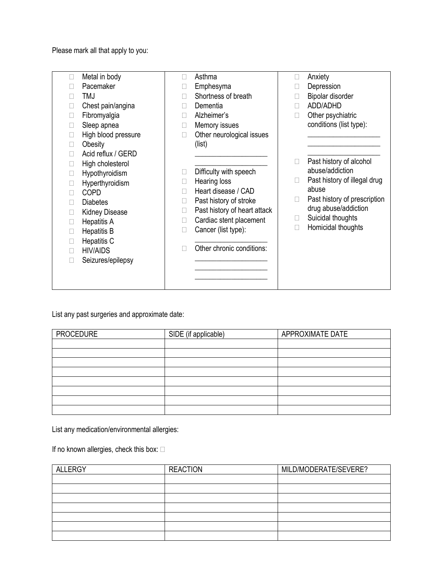Please mark all that apply to you:

| П<br>П<br>П<br>п<br>П<br>П<br>Ш<br>П<br>Ш<br>Ш<br>Ш<br>П<br>П<br>п | Metal in body<br>Pacemaker<br><b>TMJ</b><br>Chest pain/angina<br>Fibromyalgia<br>Sleep apnea<br>High blood pressure<br>Obesity<br>Acid reflux / GERD<br>High cholesterol<br>Hypothyroidism<br>Hyperthyroidism<br><b>COPD</b><br><b>Diabetes</b><br><b>Kidney Disease</b><br><b>Hepatitis A</b><br><b>Hepatitis B</b><br>Hepatitis C<br><b>HIV/AIDS</b><br>Seizures/epilepsy | п | Asthma<br>Emphesyma<br>Shortness of breath<br>Dementia<br>Alzheimer's<br>Memory issues<br>Other neurological issues<br>(list)<br>Difficulty with speech<br>Hearing loss<br>Heart disease / CAD<br>Past history of stroke<br>Past history of heart attack<br>Cardiac stent placement<br>Cancer (list type):<br>Other chronic conditions: | П<br>П<br>П<br>Ш<br>П<br>п | Anxiety<br>Depression<br>Bipolar disorder<br>ADD/ADHD<br>Other psychiatric<br>conditions (list type):<br>Past history of alcohol<br>abuse/addiction<br>Past history of illegal drug<br>abuse<br>Past history of prescription<br>drug abuse/addiction<br>Suicidal thoughts<br>Homicidal thoughts |
|--------------------------------------------------------------------|-----------------------------------------------------------------------------------------------------------------------------------------------------------------------------------------------------------------------------------------------------------------------------------------------------------------------------------------------------------------------------|---|-----------------------------------------------------------------------------------------------------------------------------------------------------------------------------------------------------------------------------------------------------------------------------------------------------------------------------------------|----------------------------|-------------------------------------------------------------------------------------------------------------------------------------------------------------------------------------------------------------------------------------------------------------------------------------------------|
|                                                                    |                                                                                                                                                                                                                                                                                                                                                                             |   |                                                                                                                                                                                                                                                                                                                                         |                            |                                                                                                                                                                                                                                                                                                 |

List any past surgeries and approximate date:

| <b>PROCEDURE</b> | SIDE (if applicable) | APPROXIMATE DATE |
|------------------|----------------------|------------------|
|                  |                      |                  |
|                  |                      |                  |
|                  |                      |                  |
|                  |                      |                  |
|                  |                      |                  |
|                  |                      |                  |
|                  |                      |                  |
|                  |                      |                  |

List any medication/environmental allergies:

If no known allergies, check this box:  $\square$ 

| <b>ALLERGY</b> | <b>REACTION</b> | MILD/MODERATE/SEVERE? |
|----------------|-----------------|-----------------------|
|                |                 |                       |
|                |                 |                       |
|                |                 |                       |
|                |                 |                       |
|                |                 |                       |
|                |                 |                       |
|                |                 |                       |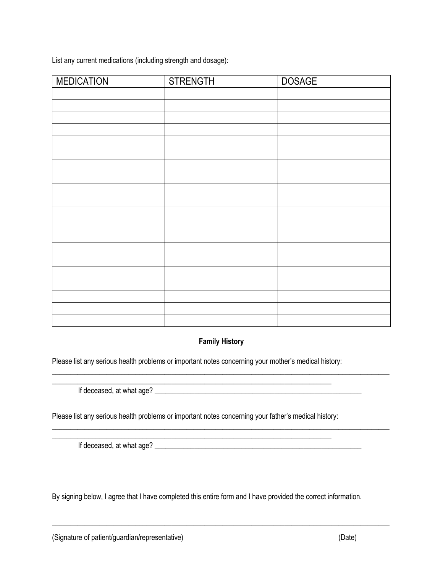List any current medications (including strength and dosage):

| <b>MEDICATION</b> | <b>STRENGTH</b> | <b>DOSAGE</b> |
|-------------------|-----------------|---------------|
|                   |                 |               |
|                   |                 |               |
|                   |                 |               |
|                   |                 |               |
|                   |                 |               |
|                   |                 |               |
|                   |                 |               |
|                   |                 |               |
|                   |                 |               |
|                   |                 |               |
|                   |                 |               |
|                   |                 |               |
|                   |                 |               |
|                   |                 |               |
|                   |                 |               |
|                   |                 |               |
|                   |                 |               |
|                   |                 |               |
|                   |                 |               |
|                   |                 |               |

#### **Family History**

 $\_$  ,  $\_$  ,  $\_$  ,  $\_$  ,  $\_$  ,  $\_$  ,  $\_$  ,  $\_$  ,  $\_$  ,  $\_$  ,  $\_$  ,  $\_$  ,  $\_$  ,  $\_$  ,  $\_$  ,  $\_$  ,  $\_$  ,  $\_$  ,  $\_$  ,  $\_$  ,  $\_$  ,  $\_$  ,  $\_$  ,  $\_$  ,  $\_$  ,  $\_$  ,  $\_$  ,  $\_$  ,  $\_$  ,  $\_$  ,  $\_$  ,  $\_$  ,  $\_$  ,  $\_$  ,  $\_$  ,  $\_$  ,  $\_$  ,

 $\_$  ,  $\_$  ,  $\_$  ,  $\_$  ,  $\_$  ,  $\_$  ,  $\_$  ,  $\_$  ,  $\_$  ,  $\_$  ,  $\_$  ,  $\_$  ,  $\_$  ,  $\_$  ,  $\_$  ,  $\_$  ,  $\_$  ,  $\_$  ,  $\_$  ,  $\_$  ,  $\_$  ,  $\_$  ,  $\_$  ,  $\_$  ,  $\_$  ,  $\_$  ,  $\_$  ,  $\_$  ,  $\_$  ,  $\_$  ,  $\_$  ,  $\_$  ,  $\_$  ,  $\_$  ,  $\_$  ,  $\_$  ,  $\_$  ,

Please list any serious health problems or important notes concerning your mother's medical history:

If deceased, at what age? \_\_\_\_\_\_\_\_\_\_\_\_\_\_\_\_\_\_\_\_\_\_\_\_\_\_\_\_\_\_\_\_\_\_\_\_\_\_\_\_\_\_\_\_\_\_\_\_\_\_\_\_\_\_\_\_\_

Please list any serious health problems or important notes concerning your father's medical history:

\_\_\_\_\_\_\_\_\_\_\_\_\_\_\_\_\_\_\_\_\_\_\_\_\_\_\_\_\_\_\_\_\_\_\_\_\_\_\_\_\_\_\_\_\_\_\_\_\_\_\_\_\_\_\_\_\_\_\_\_\_\_\_\_\_\_\_\_\_\_\_\_\_\_\_\_\_

If deceased, at what age? \_\_\_\_\_\_\_\_\_\_\_\_\_\_\_\_\_\_\_\_\_\_\_\_\_\_\_\_\_\_\_\_\_\_\_\_\_\_\_\_\_\_\_\_\_\_\_\_\_\_\_\_\_\_\_\_\_

By signing below, I agree that I have completed this entire form and I have provided the correct information.

\_\_\_\_\_\_\_\_\_\_\_\_\_\_\_\_\_\_\_\_\_\_\_\_\_\_\_\_\_\_\_\_\_\_\_\_\_\_\_\_\_\_\_\_\_\_\_\_\_\_\_\_\_\_\_\_\_\_\_\_\_\_\_\_\_\_\_\_\_\_\_\_\_\_\_\_\_\_\_\_\_\_\_\_\_\_\_\_\_\_\_\_\_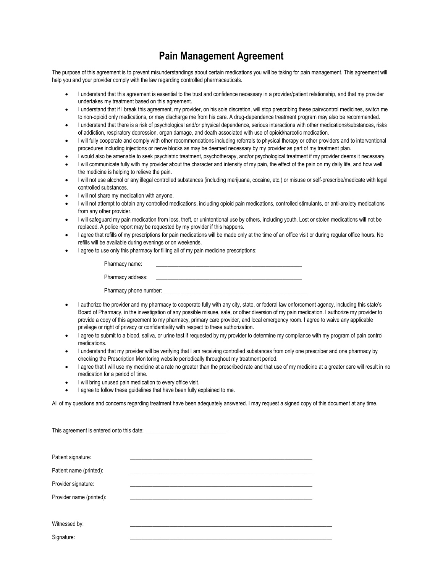## **Pain Management Agreement**

The purpose of this agreement is to prevent misunderstandings about certain medications you will be taking for pain management. This agreement will help you and your provider comply with the law regarding controlled pharmaceuticals.

- I understand that this agreement is essential to the trust and confidence necessary in a provider/patient relationship, and that my provider undertakes my treatment based on this agreement.
- I understand that if I break this agreement, my provider, on his sole discretion, will stop prescribing these pain/control medicines, switch me to non-opioid only medications, or may discharge me from his care. A drug-dependence treatment program may also be recommended.
- I understand that there is a risk of psychological and/or physical dependence, serious interactions with other medications/substances, risks of addiction, respiratory depression, organ damage, and death associated with use of opioid/narcotic medication.
- I will fully cooperate and comply with other recommendations including referrals to physical therapy or other providers and to interventional procedures including injections or nerve blocks as may be deemed necessary by my provider as part of my treatment plan.
- I would also be amenable to seek psychiatric treatment, psychotherapy, and/or psychological treatment if my provider deems it necessary.
- I will communicate fully with my provider about the character and intensity of my pain, the effect of the pain on my daily life, and how well the medicine is helping to relieve the pain.
- I will not use alcohol or any illegal controlled substances (including marijuana, cocaine, etc.) or misuse or self-prescribe/medicate with legal controlled substances.
- I will not share my medication with anyone.
- I will not attempt to obtain any controlled medications, including opioid pain medications, controlled stimulants, or anti-anxiety medications from any other provider.
- I will safeguard my pain medication from loss, theft, or unintentional use by others, including youth. Lost or stolen medications will not be replaced. A police report may be requested by my provider if this happens.
- I agree that refills of my prescriptions for pain medications will be made only at the time of an office visit or during regular office hours. No refills will be available during evenings or on weekends.
- I agree to use only this pharmacy for filling all of my pain medicine prescriptions:

| Pharmacy name:         |  |
|------------------------|--|
| Pharmacy address:      |  |
| Pharmacy phone number: |  |

- I authorize the provider and my pharmacy to cooperate fully with any city, state, or federal law enforcement agency, including this state's Board of Pharmacy, in the investigation of any possible misuse, sale, or other diversion of my pain medication. I authorize my provider to provide a copy of this agreement to my pharmacy, primary care provider, and local emergency room. I agree to waive any applicable privilege or right of privacy or confidentiality with respect to these authorization.
- I agree to submit to a blood, saliva, or urine test if requested by my provider to determine my compliance with my program of pain control medications.
- I understand that my provider will be verifying that I am receiving controlled substances from only one prescriber and one pharmacy by checking the Prescription Monitoring website periodically throughout my treatment period.
- I agree that I will use my medicine at a rate no greater than the prescribed rate and that use of my medicine at a greater care will result in no medication for a period of time.
- I will bring unused pain medication to every office visit.
- I agree to follow these guidelines that have been fully explained to me.

All of my questions and concerns regarding treatment have been adequately answered. I may request a signed copy of this document at any time.

| Patient signature:       |  |  |  |  |  |  |  |
|--------------------------|--|--|--|--|--|--|--|
| Patient name (printed):  |  |  |  |  |  |  |  |
| Provider signature:      |  |  |  |  |  |  |  |
| Provider name (printed): |  |  |  |  |  |  |  |
|                          |  |  |  |  |  |  |  |
| Witnessed by:            |  |  |  |  |  |  |  |
| Signature:               |  |  |  |  |  |  |  |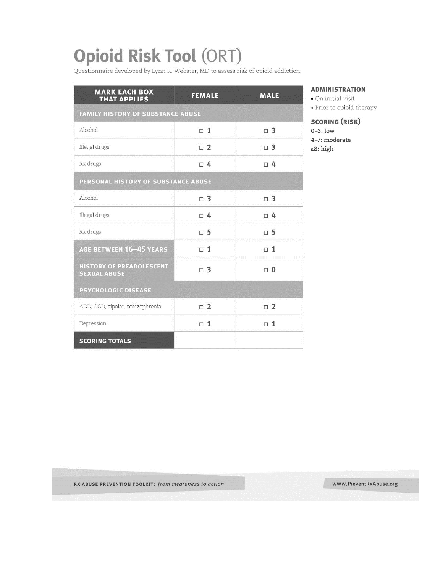# **Opioid Risk Tool (ORT)**

Questionnaire developed by Lynn R. Webster, MD to assess risk of opioid addiction.

| <b>MARK EACH BOX</b><br><b>THAT APPLIES</b>            | <b>FEMALE</b> | <b>MALE</b> |  |  |  |  |  |
|--------------------------------------------------------|---------------|-------------|--|--|--|--|--|
| <b>FAMILY HISTORY OF SUBSTANCE ABUSE</b>               |               |             |  |  |  |  |  |
| Alcohol                                                | $\Box$ 1      | $\Box$ 3    |  |  |  |  |  |
| Illegal drugs                                          | $\Box$ 2      | $\Box$ 3    |  |  |  |  |  |
| Rx drugs                                               | $\Box$ 4      | $\Box$ 4    |  |  |  |  |  |
| PERSONAL HISTORY OF SUBSTANCE ABUSE                    |               |             |  |  |  |  |  |
| Alcohol                                                | $\Box$ 3      | $\Box$ 3    |  |  |  |  |  |
| Illegal drugs                                          | $\Box$ 4      | $\Box$ 4    |  |  |  |  |  |
| Rx drugs                                               | $\Box$ 5      | $\Box$ 5    |  |  |  |  |  |
| AGE BETWEEN 16-45 YEARS                                | $\Box$ 1      | $\Box$ 1    |  |  |  |  |  |
| <b>HISTORY OF PREADOLESCENT</b><br><b>SEXUAL ABUSE</b> | $\Box$ 3      | $\Box$ 0    |  |  |  |  |  |
| <b>PSYCHOLOGIC DISEASE</b>                             |               |             |  |  |  |  |  |
| ADD, OCD, bipolar, schizophrenia                       | $\Box$ 2      | $\Box$ 2    |  |  |  |  |  |
| Depression                                             | $\Box$ 1      | $\Box$ 1    |  |  |  |  |  |
| <b>SCORING TOTALS</b>                                  |               |             |  |  |  |  |  |

#### **ADMINISTRATION**

 $\bullet$  On initial visit

• Prior to opioid therapy

**SCORING (RISK)** 

 $0-3$ : low

4-7: moderate

 $\geq 8$ : high

RX ABUSE PREVENTION TOOLKIT: from awareness to action

www.PreventRxAbuse.org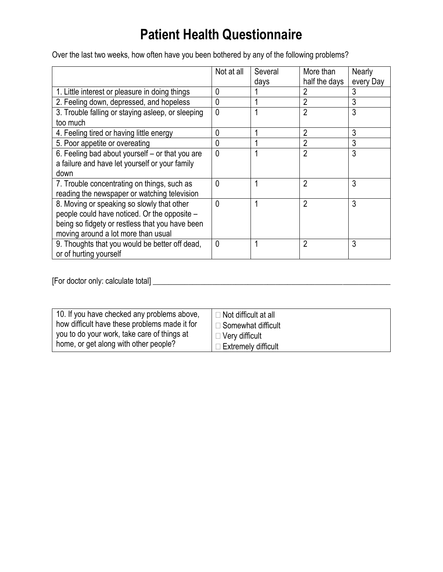# **Patient Health Questionnaire**

Over the last two weeks, how often have you been bothered by any of the following problems?

|                                                   | Not at all   | Several | More than<br>half the days | Nearly         |
|---------------------------------------------------|--------------|---------|----------------------------|----------------|
| 1. Little interest or pleasure in doing things    | 0            | days    | 2                          | every Day<br>3 |
|                                                   |              |         |                            |                |
| 2. Feeling down, depressed, and hopeless          | $\mathbf 0$  |         | 2                          | 3              |
| 3. Trouble falling or staying asleep, or sleeping | $\mathbf 0$  |         | $\overline{2}$             | 3              |
| too much                                          |              |         |                            |                |
| 4. Feeling tired or having little energy          | $\mathbf 0$  |         | $\overline{2}$             | 3              |
| 5. Poor appetite or overeating                    | $\mathbf{0}$ |         | 2                          | 3              |
| 6. Feeling bad about yourself – or that you are   | $\mathbf 0$  |         | $\overline{2}$             | 3              |
| a failure and have let yourself or your family    |              |         |                            |                |
| down                                              |              |         |                            |                |
| 7. Trouble concentrating on things, such as       | $\mathbf{0}$ |         | $\overline{2}$             | 3              |
| reading the newspaper or watching television      |              |         |                            |                |
| 8. Moving or speaking so slowly that other        | $\mathbf 0$  |         | $\overline{2}$             | 3              |
| people could have noticed. Or the opposite -      |              |         |                            |                |
| being so fidgety or restless that you have been   |              |         |                            |                |
| moving around a lot more than usual               |              |         |                            |                |
| 9. Thoughts that you would be better off dead,    | 0            |         | $\overline{2}$             | 3              |
| or of hurting yourself                            |              |         |                            |                |

[For doctor only: calculate total] \_\_\_\_\_\_\_\_\_\_\_\_\_\_\_\_\_\_\_\_\_\_\_\_\_\_\_\_\_\_\_\_\_\_\_\_\_\_\_\_\_\_\_\_\_\_\_\_\_\_\_\_\_\_\_\_\_\_\_\_

| 10. If you have checked any problems above,   | $\Box$ Not difficult at all |
|-----------------------------------------------|-----------------------------|
| how difficult have these problems made it for | $\Box$ Somewhat difficult   |
| you to do your work, take care of things at   | $\Box$ Very difficult       |
| home, or get along with other people?         | $\Box$ Extremely difficult  |